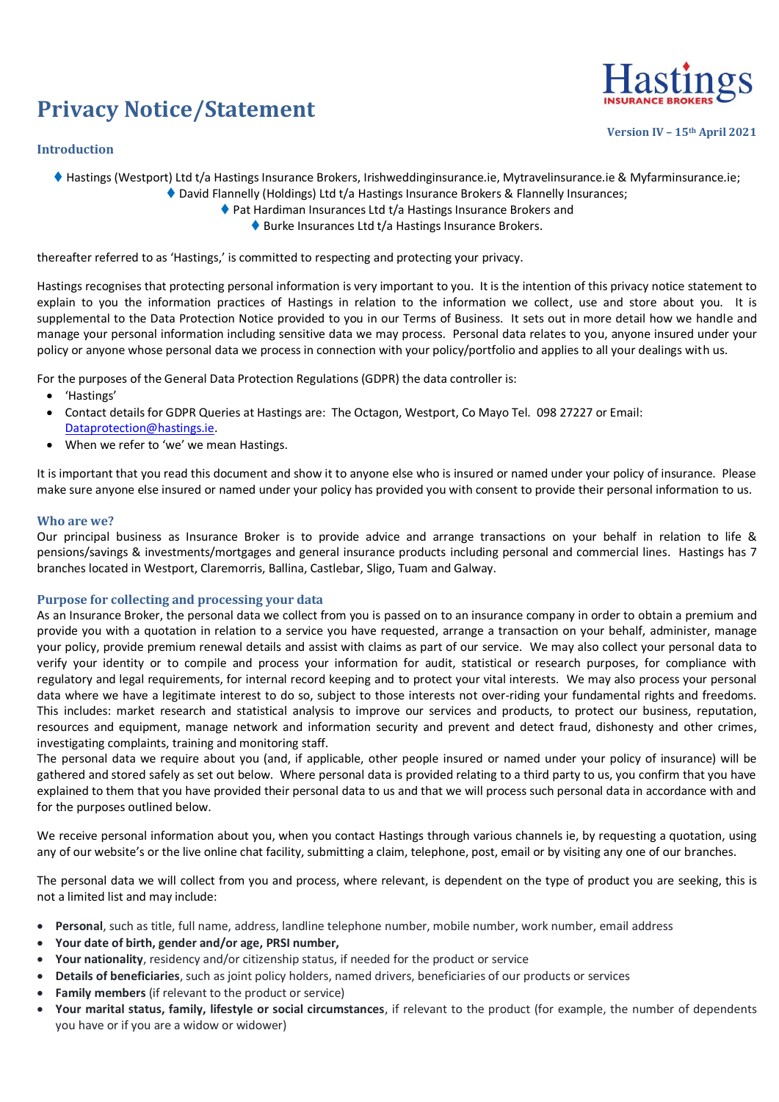# **Privacy Notice/Statement**

## **Introduction**



**Version IV – 15th April 2021**

◆ Hastings (Westport) Ltd t/a Hastings Insurance Brokers, Irishweddinginsurance.ie, Mytravelinsurance.ie & Myfarminsurance.ie;

◆ David Flannelly (Holdings) Ltd t/a Hastings Insurance Brokers & Flannelly Insurances;

- ◆ Pat Hardiman Insurances Ltd t/a Hastings Insurance Brokers and
	- ♦ Burke Insurances Ltd t/a Hastings Insurance Brokers.

thereafter referred to as 'Hastings,' is committed to respecting and protecting your privacy.

Hastings recognises that protecting personal information is very important to you. It is the intention of this privacy notice statement to explain to you the information practices of Hastings in relation to the information we collect, use and store about you. It is supplemental to the Data Protection Notice provided to you in our Terms of Business. It sets out in more detail how we handle and manage your personal information including sensitive data we may process. Personal data relates to you, anyone insured under your policy or anyone whose personal data we process in connection with your policy/portfolio and applies to all your dealings with us.

For the purposes of the General Data Protection Regulations (GDPR) the data controller is:

- 'Hastings'
- Contact details for GDPR Queries at Hastings are: The Octagon, Westport, Co Mayo Tel. 098 27227 or Email: [Dataprotection@hastings.ie.](mailto:Dataprotection@hastings.ie)
- When we refer to 'we' we mean Hastings.

It is important that you read this document and show it to anyone else who is insured or named under your policy of insurance. Please make sure anyone else insured or named under your policy has provided you with consent to provide their personal information to us.

#### **Who are we?**

Our principal business as Insurance Broker is to provide advice and arrange transactions on your behalf in relation to life & pensions/savings & investments/mortgages and general insurance products including personal and commercial lines. Hastings has 7 branches located in Westport, Claremorris, Ballina, Castlebar, Sligo, Tuam and Galway.

### **Purpose for collecting and processing your data**

As an Insurance Broker, the personal data we collect from you is passed on to an insurance company in order to obtain a premium and provide you with a quotation in relation to a service you have requested, arrange a transaction on your behalf, administer, manage your policy, provide premium renewal details and assist with claims as part of our service. We may also collect your personal data to verify your identity or to compile and process your information for audit, statistical or research purposes, for compliance with regulatory and legal requirements, for internal record keeping and to protect your vital interests. We may also process your personal data where we have a legitimate interest to do so, subject to those interests not over-riding your fundamental rights and freedoms. This includes: market research and statistical analysis to improve our services and products, to protect our business, reputation, resources and equipment, manage network and information security and prevent and detect fraud, dishonesty and other crimes, investigating complaints, training and monitoring staff.

The personal data we require about you (and, if applicable, other people insured or named under your policy of insurance) will be gathered and stored safely as set out below. Where personal data is provided relating to a third party to us, you confirm that you have explained to them that you have provided their personal data to us and that we will process such personal data in accordance with and for the purposes outlined below.

We receive personal information about you, when you contact Hastings through various channels ie, by requesting a quotation, using any of our website's or the live online chat facility, submitting a claim, telephone, post, email or by visiting any one of our branches.

The personal data we will collect from you and process, where relevant, is dependent on the type of product you are seeking, this is not a limited list and may include:

- **Personal**, such as title, full name, address, landline telephone number, mobile number, work number, email address
- **Your date of birth, gender and/or age, PRSI number,**
- **Your nationality**, residency and/or citizenship status, if needed for the product or service
- **Details of beneficiaries**, such as joint policy holders, named drivers, beneficiaries of our products or services
- **Family members** (if relevant to the product or service)
- **Your marital status, family, lifestyle or social circumstances**, if relevant to the product (for example, the number of dependents you have or if you are a widow or widower)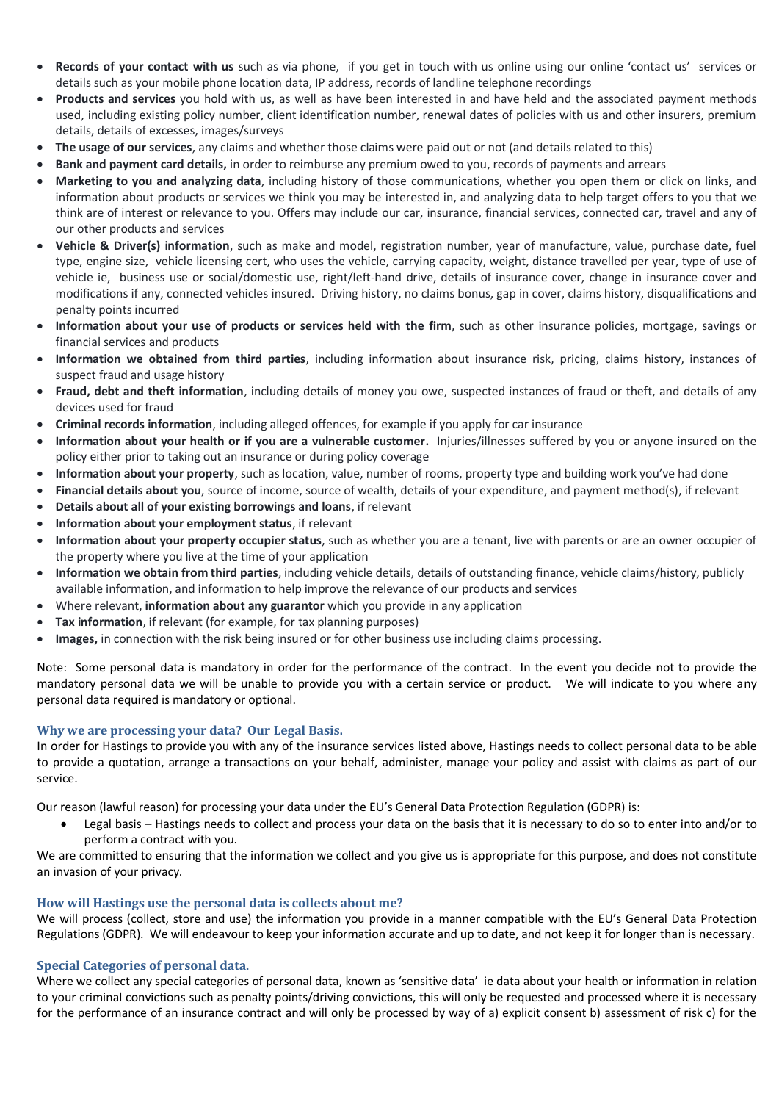- **Records of your contact with us** such as via phone, if you get in touch with us online using our online 'contact us' services or details such as your mobile phone location data, IP address, records of landline telephone recordings
- **Products and services** you hold with us, as well as have been interested in and have held and the associated payment methods used, including existing policy number, client identification number, renewal dates of policies with us and other insurers, premium details, details of excesses, images/surveys
- **The usage of our services**, any claims and whether those claims were paid out or not (and details related to this)
- **Bank and payment card details,** in order to reimburse any premium owed to you, records of payments and arrears
- **Marketing to you and analyzing data**, including history of those communications, whether you open them or click on links, and information about products or services we think you may be interested in, and analyzing data to help target offers to you that we think are of interest or relevance to you. Offers may include our car, insurance, financial services, connected car, travel and any of our other products and services
- **Vehicle & Driver(s) information**, such as make and model, registration number, year of manufacture, value, purchase date, fuel type, engine size, vehicle licensing cert, who uses the vehicle, carrying capacity, weight, distance travelled per year, type of use of vehicle ie, business use or social/domestic use, right/left-hand drive, details of insurance cover, change in insurance cover and modifications if any, connected vehicles insured. Driving history, no claims bonus, gap in cover, claims history, disqualifications and penalty points incurred
- **Information about your use of products or services held with the firm**, such as other insurance policies, mortgage, savings or financial services and products
- **Information we obtained from third parties**, including information about insurance risk, pricing, claims history, instances of suspect fraud and usage history
- **Fraud, debt and theft information**, including details of money you owe, suspected instances of fraud or theft, and details of any devices used for fraud
- **Criminal records information**, including alleged offences, for example if you apply for car insurance
- **Information about your health or if you are a vulnerable customer.** Injuries/illnesses suffered by you or anyone insured on the policy either prior to taking out an insurance or during policy coverage
- **Information about your property**, such as location, value, number of rooms, property type and building work you've had done
- **Financial details about you**, source of income, source of wealth, details of your expenditure, and payment method(s), if relevant
- **Details about all of your existing borrowings and loans**, if relevant
- **Information about your employment status**, if relevant
- **Information about your property occupier status**, such as whether you are a tenant, live with parents or are an owner occupier of the property where you live at the time of your application
- **Information we obtain from third parties**, including vehicle details, details of outstanding finance, vehicle claims/history, publicly available information, and information to help improve the relevance of our products and services
- Where relevant, **information about any guarantor** which you provide in any application
- **Tax information**, if relevant (for example, for tax planning purposes)
- **Images,** in connection with the risk being insured or for other business use including claims processing.

Note: Some personal data is mandatory in order for the performance of the contract. In the event you decide not to provide the mandatory personal data we will be unable to provide you with a certain service or product. We will indicate to you where any personal data required is mandatory or optional.

### **Why we are processing your data? Our Legal Basis.**

In order for Hastings to provide you with any of the insurance services listed above, Hastings needs to collect personal data to be able to provide a quotation, arrange a transactions on your behalf, administer, manage your policy and assist with claims as part of our service.

Our reason (lawful reason) for processing your data under the EU's General Data Protection Regulation (GDPR) is:

 Legal basis – Hastings needs to collect and process your data on the basis that it is necessary to do so to enter into and/or to perform a contract with you.

We are committed to ensuring that the information we collect and you give us is appropriate for this purpose, and does not constitute an invasion of your privacy.

# **How will Hastings use the personal data is collects about me?**

We will process (collect, store and use) the information you provide in a manner compatible with the EU's General Data Protection Regulations (GDPR). We will endeavour to keep your information accurate and up to date, and not keep it for longer than is necessary.

# **Special Categories of personal data.**

Where we collect any special categories of personal data, known as 'sensitive data' ie data about your health or information in relation to your criminal convictions such as penalty points/driving convictions, this will only be requested and processed where it is necessary for the performance of an insurance contract and will only be processed by way of a) explicit consent b) assessment of risk c) for the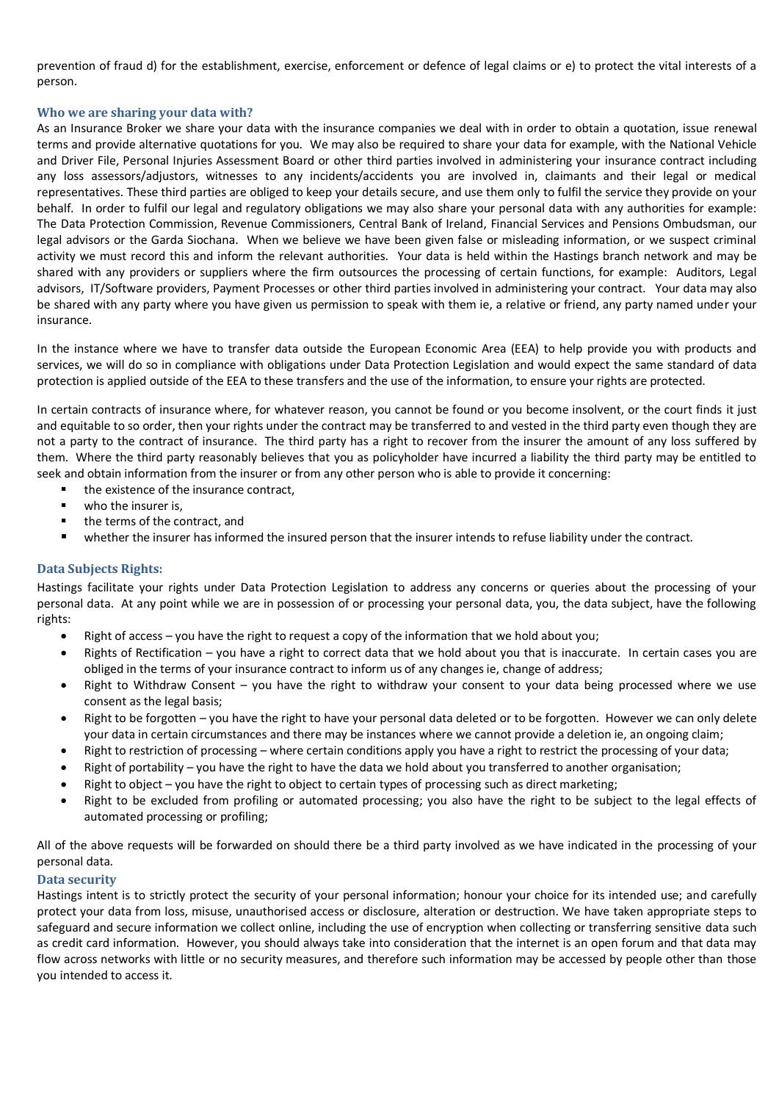prevention of fraud d) for the establishment, exercise, enforcement or defence of legal claims or e) to protect the vital interests of a person.

## **Who we are sharing your data with?**

As an Insurance Broker we share your data with the insurance companies we deal with in order to obtain a quotation, issue renewal terms and provide alternative quotations for you. We may also be required to share your data for example, with the National Vehicle and Driver File, Personal Injuries Assessment Board or other third parties involved in administering your insurance contract including any loss assessors/adjustors, witnesses to any incidents/accidents you are involved in, claimants and their legal or medical representatives. These third parties are obliged to keep your details secure, and use them only to fulfil the service they provide on your behalf. In order to fulfil our legal and regulatory obligations we may also share your personal data with any authorities for example: The Data Protection Commission, Revenue Commissioners, Central Bank of Ireland, Financial Services and Pensions Ombudsman, our legal advisors or the Garda Siochana. When we believe we have been given false or misleading information, or we suspect criminal activity we must record this and inform the relevant authorities. Your data is held within the Hastings branch network and may be shared with any providers or suppliers where the firm outsources the processing of certain functions, for example: Auditors, Legal advisors, IT/Software providers, Payment Processes or other third parties involved in administering your contract. Your data may also be shared with any party where you have given us permission to speak with them ie, a relative or friend, any party named under your insurance.

In the instance where we have to transfer data outside the European Economic Area (EEA) to help provide you with products and services, we will do so in compliance with obligations under Data Protection Legislation and would expect the same standard of data protection is applied outside of the EEA to these transfers and the use of the information, to ensure your rights are protected.

In certain contracts of insurance where, for whatever reason, you cannot be found or you become insolvent, or the court finds it just and equitable to so order, then your rights under the contract may be transferred to and vested in the third party even though they are not a party to the contract of insurance. The third party has a right to recover from the insurer the amount of any loss suffered by them. Where the third party reasonably believes that you as policyholder have incurred a liability the third party may be entitled to seek and obtain information from the insurer or from any other person who is able to provide it concerning:

- the existence of the insurance contract,
- who the insurer is,
- the terms of the contract, and
- whether the insurer has informed the insured person that the insurer intends to refuse liability under the contract.

# **Data Subjects Rights:**

Hastings facilitate your rights under Data Protection Legislation to address any concerns or queries about the processing of your personal data. At any point while we are in possession of or processing your personal data, you, the data subject, have the following rights:

- Right of access you have the right to request a copy of the information that we hold about you;
- Rights of Rectification you have a right to correct data that we hold about you that is inaccurate. In certain cases you are obliged in the terms of your insurance contract to inform us of any changes ie, change of address;
- Right to Withdraw Consent you have the right to withdraw your consent to your data being processed where we use consent as the legal basis;
- Right to be forgotten you have the right to have your personal data deleted or to be forgotten. However we can only delete your data in certain circumstances and there may be instances where we cannot provide a deletion ie, an ongoing claim;
- Right to restriction of processing where certain conditions apply you have a right to restrict the processing of your data;
- Right of portability you have the right to have the data we hold about you transferred to another organisation;
- Right to object you have the right to object to certain types of processing such as direct marketing;
- Right to be excluded from profiling or automated processing; you also have the right to be subject to the legal effects of automated processing or profiling;

All of the above requests will be forwarded on should there be a third party involved as we have indicated in the processing of your personal data.

### **Data security**

Hastings intent is to strictly protect the security of your personal information; honour your choice for its intended use; and carefully protect your data from loss, misuse, unauthorised access or disclosure, alteration or destruction. We have taken appropriate steps to safeguard and secure information we collect online, including the use of encryption when collecting or transferring sensitive data such as credit card information. However, you should always take into consideration that the internet is an open forum and that data may flow across networks with little or no security measures, and therefore such information may be accessed by people other than those you intended to access it.